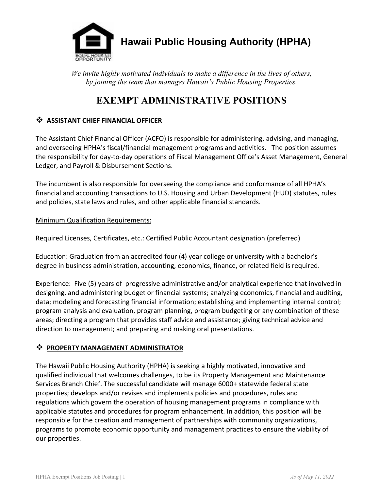

*We invite highly motivated individuals to make a difference in the lives of others, by joining the team that manages Hawaii's Public Housing Properties.* 

# **EXEMPT ADMINISTRATIVE POSITIONS**

## **ASSISTANT CHIEF FINANCIAL OFFICER**

The Assistant Chief Financial Officer (ACFO) is responsible for administering, advising, and managing, and overseeing HPHA's fiscal/financial management programs and activities. The position assumes the responsibility for day-to-day operations of Fiscal Management Office's Asset Management, General Ledger, and Payroll & Disbursement Sections.

The incumbent is also responsible for overseeing the compliance and conformance of all HPHA's financial and accounting transactions to U.S. Housing and Urban Development (HUD) statutes, rules and policies, state laws and rules, and other applicable financial standards.

## Minimum Qualification Requirements:

Required Licenses, Certificates, etc.: Certified Public Accountant designation (preferred)

Education: Graduation from an accredited four (4) year college or university with a bachelor's degree in business administration, accounting, economics, finance, or related field is required.

Experience: Five (5) years of progressive administrative and/or analytical experience that involved in designing, and administering budget or financial systems; analyzing economics, financial and auditing, data; modeling and forecasting financial information; establishing and implementing internal control; program analysis and evaluation, program planning, program budgeting or any combination of these areas; directing a program that provides staff advice and assistance; giving technical advice and direction to management; and preparing and making oral presentations.

## *<b>\** PROPERTY MANAGEMENT ADMINISTRATOR

The Hawaii Public Housing Authority (HPHA) is seeking a highly motivated, innovative and qualified individual that welcomes challenges, to be its Property Management and Maintenance Services Branch Chief. The successful candidate will manage 6000+ statewide federal state properties; develops and/or revises and implements policies and procedures, rules and regulations which govern the operation of housing management programs in compliance with applicable statutes and procedures for program enhancement. In addition, this position will be responsible for the creation and management of partnerships with community organizations, programs to promote economic opportunity and management practices to ensure the viability of our properties.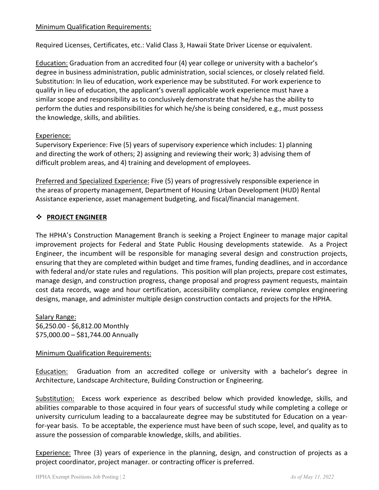#### Minimum Qualification Requirements:

Required Licenses, Certificates, etc.: Valid Class 3, Hawaii State Driver License or equivalent.

Education: Graduation from an accredited four (4) year college or university with a bachelor's degree in business administration, public administration, social sciences, or closely related field. Substitution: In lieu of education, work experience may be substituted. For work experience to qualify in lieu of education, the applicant's overall applicable work experience must have a similar scope and responsibility as to conclusively demonstrate that he/she has the ability to perform the duties and responsibilities for which he/she is being considered, e.g., must possess the knowledge, skills, and abilities.

## Experience:

Supervisory Experience: Five (5) years of supervisory experience which includes: 1) planning and directing the work of others; 2) assigning and reviewing their work; 3) advising them of difficult problem areas, and 4) training and development of employees.

Preferred and Specialized Experience: Five (5) years of progressively responsible experience in the areas of property management, Department of Housing Urban Development (HUD) Rental Assistance experience, asset management budgeting, and fiscal/financial management.

## **PROJECT ENGINEER**

The HPHA's Construction Management Branch is seeking a Project Engineer to manage major capital improvement projects for Federal and State Public Housing developments statewide. As a Project Engineer, the incumbent will be responsible for managing several design and construction projects, ensuring that they are completed within budget and time frames, funding deadlines, and in accordance with federal and/or state rules and regulations. This position will plan projects, prepare cost estimates, manage design, and construction progress, change proposal and progress payment requests, maintain cost data records, wage and hour certification, accessibility compliance, review complex engineering designs, manage, and administer multiple design construction contacts and projects for the HPHA.

Salary Range: \$6,250.00 - \$6,812.00 Monthly \$75,000.00 – \$81,744.00 Annually

## Minimum Qualification Requirements:

Education: Graduation from an accredited college or university with a bachelor's degree in Architecture, Landscape Architecture, Building Construction or Engineering.

Substitution: Excess work experience as described below which provided knowledge, skills, and abilities comparable to those acquired in four years of successful study while completing a college or university curriculum leading to a baccalaureate degree may be substituted for Education on a yearfor-year basis. To be acceptable, the experience must have been of such scope, level, and quality as to assure the possession of comparable knowledge, skills, and abilities.

Experience: Three (3) years of experience in the planning, design, and construction of projects as a project coordinator, project manager. or contracting officer is preferred.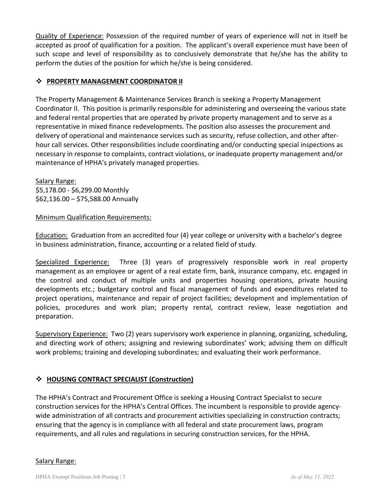Quality of Experience: Possession of the required number of years of experience will not in itself be accepted as proof of qualification for a position. The applicant's overall experience must have been of such scope and level of responsibility as to conclusively demonstrate that he/she has the ability to perform the duties of the position for which he/she is being considered.

## $\div$  **PROPERTY MANAGEMENT COORDINATOR II**

The Property Management & Maintenance Services Branch is seeking a Property Management Coordinator II. This position is primarily responsible for administering and overseeing the various state and federal rental properties that are operated by private property management and to serve as a representative in mixed finance redevelopments. The position also assesses the procurement and delivery of operational and maintenance services such as security, refuse collection, and other afterhour call services. Other responsibilities include coordinating and/or conducting special inspections as necessary in response to complaints, contract violations, or inadequate property management and/or maintenance of HPHA's privately managed properties.

Salary Range: \$5,178.00 - \$6,299.00 Monthly \$62,136.00 – \$75,588.00 Annually

#### Minimum Qualification Requirements:

Education: Graduation from an accredited four (4) year college or university with a bachelor's degree in business administration, finance, accounting or a related field of study.

Specialized Experience: Three (3) years of progressively responsible work in real property management as an employee or agent of a real estate firm, bank, insurance company, etc. engaged in the control and conduct of multiple units and properties housing operations, private housing developments etc.; budgetary control and fiscal management of funds and expenditures related to project operations, maintenance and repair of project facilities; development and implementation of policies, procedures and work plan; property rental, contract review, lease negotiation and preparation.

Supervisory Experience: Two (2) years supervisory work experience in planning, organizing, scheduling, and directing work of others; assigning and reviewing subordinates' work; advising them on difficult work problems; training and developing subordinates; and evaluating their work performance.

#### **HOUSING CONTRACT SPECIALIST (Construction)**

The HPHA's Contract and Procurement Office is seeking a Housing Contract Specialist to secure construction services for the HPHA's Central Offices. The incumbent is responsible to provide agencywide administration of all contracts and procurement activities specializing in construction contracts; ensuring that the agency is in compliance with all federal and state procurement laws, program requirements, and all rules and regulations in securing construction services, for the HPHA.

#### Salary Range: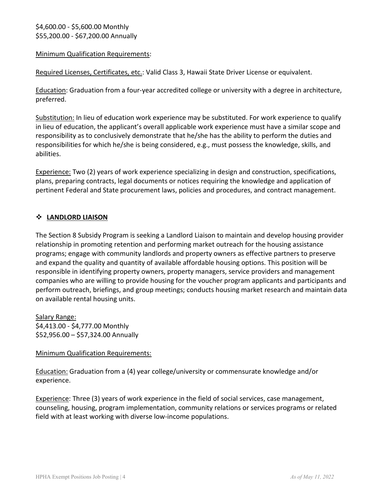## \$4,600.00 - \$5,600.00 Monthly \$55,200.00 - \$67,200.00 Annually

#### Minimum Qualification Requirements:

Required Licenses, Certificates, etc.: Valid Class 3, Hawaii State Driver License or equivalent.

Education: Graduation from a four-year accredited college or university with a degree in architecture, preferred.

Substitution: In lieu of education work experience may be substituted. For work experience to qualify in lieu of education, the applicant's overall applicable work experience must have a similar scope and responsibility as to conclusively demonstrate that he/she has the ability to perform the duties and responsibilities for which he/she is being considered, e.g., must possess the knowledge, skills, and abilities.

Experience: Two (2) years of work experience specializing in design and construction, specifications, plans, preparing contracts, legal documents or notices requiring the knowledge and application of pertinent Federal and State procurement laws, policies and procedures, and contract management.

## **LANDLORD LIAISON**

The Section 8 Subsidy Program is seeking a Landlord Liaison to maintain and develop housing provider relationship in promoting retention and performing market outreach for the housing assistance programs; engage with community landlords and property owners as effective partners to preserve and expand the quality and quantity of available affordable housing options. This position will be responsible in identifying property owners, property managers, service providers and management companies who are willing to provide housing for the voucher program applicants and participants and perform outreach, briefings, and group meetings; conducts housing market research and maintain data on available rental housing units.

Salary Range: \$4,413.00 - \$4,777.00 Monthly \$52,956.00 – \$57,324.00 Annually

#### Minimum Qualification Requirements:

Education: Graduation from a (4) year college/university or commensurate knowledge and/or experience.

Experience: Three (3) years of work experience in the field of social services, case management, counseling, housing, program implementation, community relations or services programs or related field with at least working with diverse low-income populations.